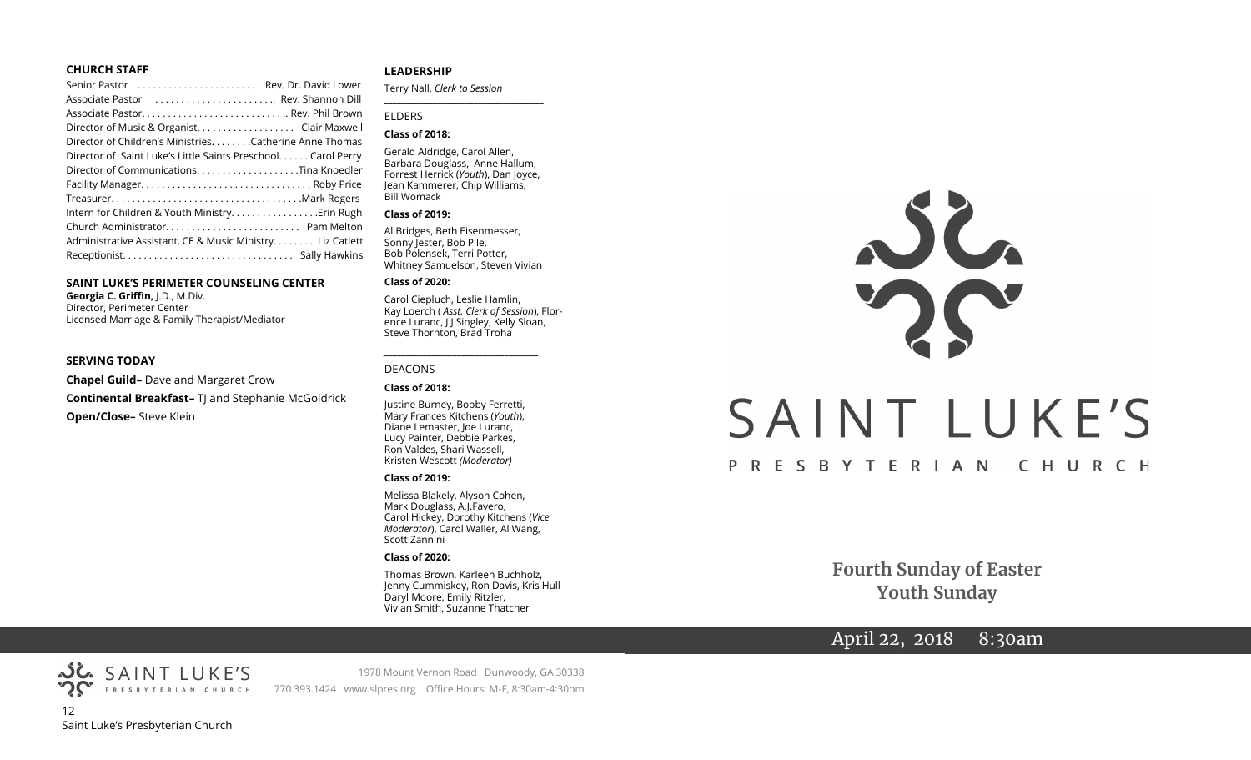#### **CHURCH STAFF**

| Senior Pastor  Rev. Dr. David Lower                           |  |
|---------------------------------------------------------------|--|
| Associate Pastor  Rev. Shannon Dill                           |  |
|                                                               |  |
| Director of Music & Organist. Clair Maxwell                   |  |
| Director of Children's Ministries. Catherine Anne Thomas      |  |
| Director of Saint Luke's Little Saints Preschool. Carol Perry |  |
|                                                               |  |
|                                                               |  |
|                                                               |  |
| Intern for Children & Youth Ministry Erin Rugh                |  |
|                                                               |  |
| Administrative Assistant, CE & Music Ministry. Liz Catlett    |  |
|                                                               |  |
|                                                               |  |

#### **SAINT LUKE'S PERIMETER COUNSELING CENTER**

**Georgia C. Griffin,** J.D., M.Div. Director, Perimeter Center Licensed Marriage & Family Therapist/Mediator

#### **SERVING TODAY**

**Chapel Guild–** Dave and Margaret Crow **Continental Breakfast-** TJ and Stephanie McGoldrick **Open/Close–** Steve Klein

#### **LEADERSHIP**

Terry Nall, *Clerk to Session* 

#### ELDERS

#### **Class of 2018:**

Gerald Aldridge, Carol Allen, Barbara Douglass, Anne Hallum, Forrest Herrick (*Youth*), Dan Joyce, Jean Kammerer, Chip Williams, Bill Womack

**\_\_\_\_\_\_\_\_\_\_\_\_\_\_\_\_\_\_\_\_\_\_\_\_\_\_\_\_\_\_\_\_\_\_\_\_\_\_\_**

#### **Class of 2019:**

Al Bridges, Beth Eisenmesser, Sonny Jester, Bob Pile, Bob Polensek, Terri Potter, Whitney Samuelson, Steven Vivian

#### **Class of 2020:**

Carol Ciepluch, Leslie Hamlin, Kay Loerch ( *Asst. Clerk of Session*), Florence Luranc, J J Singley, Kelly Sloan, Steve Thornton, Brad Troha

*\_\_\_\_\_\_\_\_\_\_\_\_\_\_\_\_\_\_\_\_\_\_\_\_\_\_\_\_\_\_\_\_\_\_\_\_*

#### DEACONS

#### **Class of 2018:**

Justine Burney, Bobby Ferretti, Mary Frances Kitchens (*Youth*), Diane Lemaster, Joe Luranc, Lucy Painter, Debbie Parkes, Ron Valdes, Shari Wassell, Kristen Wescott *(Moderator)*

#### **Class of 2019:**

Melissa Blakely, Alyson Cohen, Mark Douglass, A.J.Favero, Carol Hickey, Dorothy Kitchens (*Vice Moderator*), Carol Waller, Al Wang, Scott Zannini

#### **Class of 2020:**

Thomas Brown, Karleen Buchholz, Jenny Cummiskey, Ron Davis, Kris Hull Daryl Moore, Emily Ritzler, Vivian Smith, Suzanne Thatcher

# $22$ SAINT LUKE'S PRESBYTERIAN CHURCH

**Fourth Sunday of Easter Youth Sunday**

# April 22, 2018 8:30am

PRESBYTERIAN CHURCH 12 Saint Luke's Presbyterian Church

SAINT LUKE'S

1978 Mount Vernon Road Dunwoody, GA 30338 770.393.1424 www.slpres.org Office Hours: M-F, 8:30am-4:30pm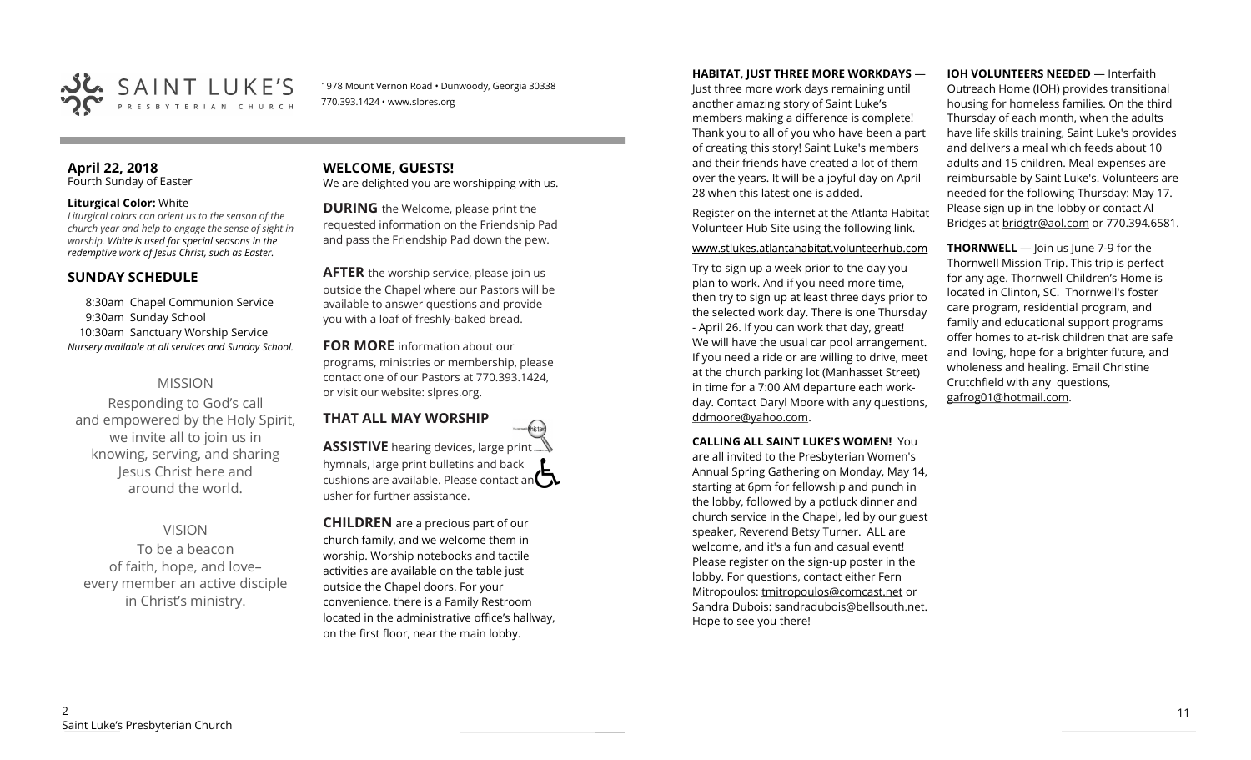

1978 Mount Vernon Road • Dunwoody, Georgia 30338 770.393.1424 • www.slpres.org

#### **April 22, 2018**  Fourth Sunday of Easter

#### **Liturgical Color:** White

*Liturgical colors can orient us to the season of the church year and help to engage the sense of sight in worship. White is used for special seasons in the redemptive work of Jesus Christ, such as Easter.* 

## **SUNDAY SCHEDULE**

8:30am Chapel Communion Service 9:30am Sunday School 10:30am Sanctuary Worship Service *Nursery available at all services and Sunday School.* 

# MISSION

Responding to God's call and empowered by the Holy Spirit, we invite all to join us in knowing, serving, and sharing Jesus Christ here and around the world.

# VISION

To be a beacon of faith, hope, and love– every member an active disciple in Christ's ministry.

#### **WELCOME, GUESTS!**  We are delighted you are worshipping with us.

**DURING** the Welcome, please print the requested information on the Friendship Pad and pass the Friendship Pad down the pew.

**AFTER** the worship service, please join us outside the Chapel where our Pastors will be available to answer questions and provide you with a loaf of freshly-baked bread.

**FOR MORE** information about our programs, ministries or membership, please contact one of our Pastors at 770.393.1424, or visit our website: slpres.org.

**THAT ALL MAY WORSHIP** thisted **ASSISTIVE** hearing devices, large print... hymnals, large print bulletins and back cushions are available. Please contact an  $\square$ usher for further assistance.

**CHILDREN** are a precious part of our church family, and we welcome them in worship. Worship notebooks and tactile activities are available on the table just outside the Chapel doors. For your convenience, there is a Family Restroom located in the administrative office's hallway, on the first floor, near the main lobby.

#### **HABITAT, JUST THREE MORE WORKDAYS** —

Just three more work days remaining until another amazing story of Saint Luke's members making a difference is complete! Thank you to all of you who have been a part of creating this story! Saint Luke's members and their friends have created a lot of them over the years. It will be a joyful day on April 28 when this latest one is added.

Register on the internet at the Atlanta Habitat Volunteer Hub Site using the following link.

#### www.stlukes.atlantahabitat.volunteerhub.com

Try to sign up a week prior to the day you plan to work. And if you need more time, then try to sign up at least three days prior to the selected work day. There is one Thursday - April 26. If you can work that day, great! We will have the usual car pool arrangement. If you need a ride or are willing to drive, meet at the church parking lot (Manhasset Street) in time for a 7:00 AM departure each workday. Contact Daryl Moore with any questions, ddmoore@yahoo.com.

**CALLING ALL SAINT LUKE'S WOMEN!** You

are all invited to the Presbyterian Women's Annual Spring Gathering on Monday, May 14, starting at 6pm for fellowship and punch in the lobby, followed by a potluck dinner and church service in the Chapel, led by our guest speaker, Reverend Betsy Turner. ALL are welcome, and it's a fun and casual event! Please register on the sign-up poster in the lobby. For questions, contact either Fern Mitropoulos: [tmitropoulos@comcast.net](mailto:tmitropoulos@comcast.net) or Sandra Dubois: sandradubois@bellsouth.net. Hope to see you there!

#### **IOH VOLUNTEERS NEEDED** — Interfaith

Outreach Home (IOH) provides transitional housing for homeless families. On the third Thursday of each month, when the adults have life skills training, Saint Luke's provides and delivers a meal which feeds about 10 adults and 15 children. Meal expenses are reimbursable by Saint Luke's. Volunteers are needed for the following Thursday: May 17. Please sign up in the lobby or contact Al Bridges at [bridgtr@aol.com](mailto:bridgtr@aol.com) or 770.394.6581.

**THORNWELL** — Join us June 7-9 for the Thornwell Mission Trip. This trip is perfect for any age. Thornwell Children's Home is located in Clinton, SC. Thornwell's foster care program, residential program, and family and educational support programs offer homes to at-risk children that are safe and loving, hope for a brighter future, and wholeness and healing. Email Christine Crutchfield with any questions, gafrog01@hotmail.com.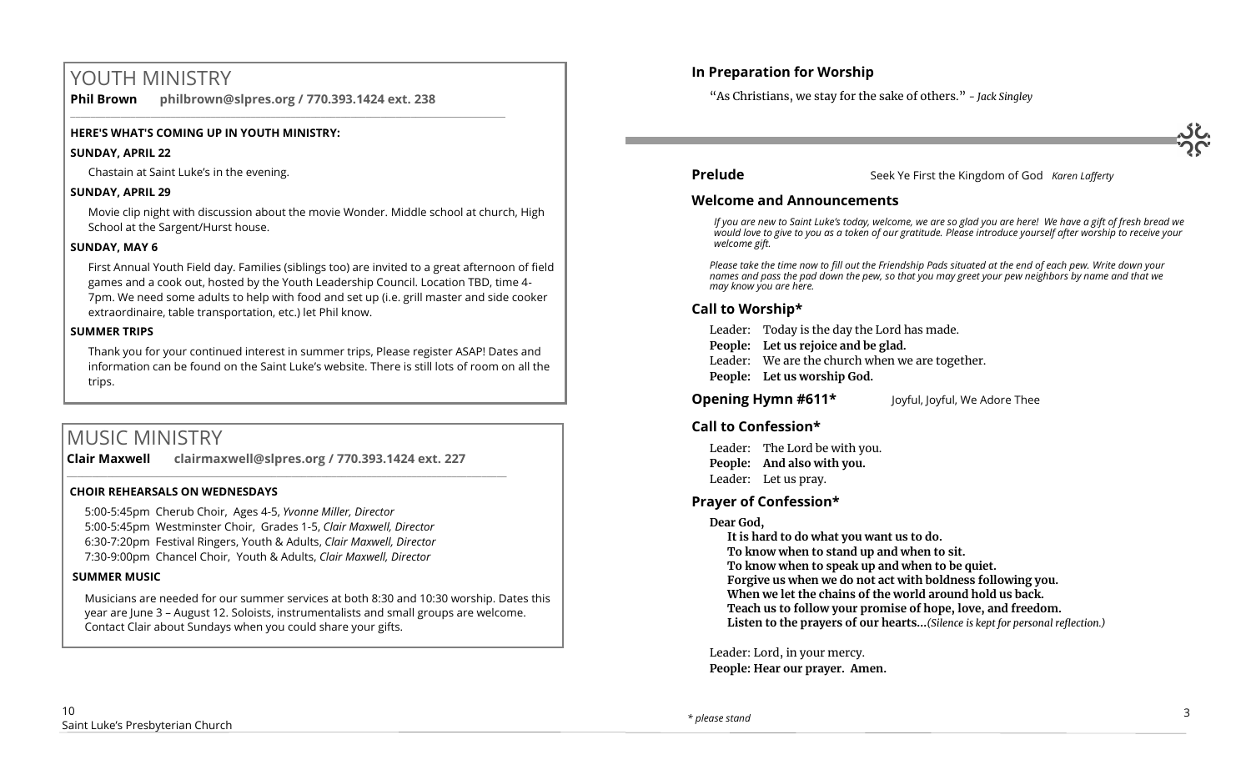# YOUTH MINISTRY

**Phil Brown philbrown@slpres.org / 770.393.1424 ext. 238**  \_\_\_\_\_\_\_\_\_\_\_\_\_\_\_\_\_\_\_\_\_\_\_\_\_\_\_\_\_\_\_\_\_\_\_\_\_\_\_\_\_\_\_\_\_\_\_\_\_\_\_\_\_\_\_\_\_\_\_\_\_\_\_\_\_\_\_\_\_\_\_\_\_\_\_\_\_\_\_\_\_\_\_\_\_\_\_

#### **HERE'S WHAT'S COMING UP IN YOUTH MINISTRY:**

#### **SUNDAY, APRIL 22**

Chastain at Saint Luke's in the evening.

#### **SUNDAY, APRIL 29**

Movie clip night with discussion about the movie Wonder. Middle school at church, High School at the Sargent/Hurst house.

#### **SUNDAY, MAY 6**

First Annual Youth Field day. Families (siblings too) are invited to a great afternoon of field games and a cook out, hosted by the Youth Leadership Council. Location TBD, time 4- 7pm. We need some adults to help with food and set up (i.e. grill master and side cooker extraordinaire, table transportation, etc.) let Phil know.

#### **SUMMER TRIPS**

Thank you for your continued interest in summer trips, Please register ASAP! Dates and information can be found on the Saint Luke's website. There is still lots of room on all the trips.

# MUSIC MINISTRY

**Clair Maxwell clairmaxwell@slpres.org / 770.393.1424 ext. 227**   $\_$  ,  $\_$  ,  $\_$  ,  $\_$  ,  $\_$  ,  $\_$  ,  $\_$  ,  $\_$  ,  $\_$  ,  $\_$  ,  $\_$  ,  $\_$  ,  $\_$  ,  $\_$  ,  $\_$  ,  $\_$  ,  $\_$  ,  $\_$  ,  $\_$ 

#### **CHOIR REHEARSALS ON WEDNESDAYS**

5:00-5:45pm Cherub Choir, Ages 4-5, *Yvonne Miller, Director*  5:00-5:45pm Westminster Choir, Grades 1-5, *Clair Maxwell, Director*  6:30-7:20pm Festival Ringers, Youth & Adults, *Clair Maxwell, Director*  7:30-9:00pm Chancel Choir, Youth & Adults, *Clair Maxwell, Director* 

#### **SUMMER MUSIC**

Musicians are needed for our summer services at both 8:30 and 10:30 worship. Dates this year are June 3 – August 12. Soloists, instrumentalists and small groups are welcome. Contact Clair about Sundays when you could share your gifts.

## **In Preparation for Worship**

"As Christians, we stay for the sake of others." *- Jack Singley*

**Prelude** Seek Ye First the Kingdom of God *Karen Lafferty* 

#### **Welcome and Announcements**

*If you are new to Saint Luke's today, welcome, we are so glad you are here! We have a gift of fresh bread we would love to give to you as a token of our gratitude. Please introduce yourself after worship to receive your welcome gift.*

*Please take the time now to fill out the Friendship Pads situated at the end of each pew. Write down your names and pass the pad down the pew, so that you may greet your pew neighbors by name and that we may know you are here.*

## **Call to Worship\***

Leader: Today is the day the Lord has made.

- **People: Let us rejoice and be glad.**
- Leader: We are the church when we are together.
- **People: Let us worship God.**
- **Opening Hymn #611\*** Joyful, Joyful, We Adore Thee

### **Call to Confession\***

Leader: The Lord be with you. **People: And also with you.** Leader: Let us pray.

### **Prayer of Confession\***

#### **Dear God,**

**It is hard to do what you want us to do.** 

**To know when to stand up and when to sit.** 

- **To know when to speak up and when to be quiet.**
- **Forgive us when we do not act with boldness following you.**
- **When we let the chains of the world around hold us back.**
- **Teach us to follow your promise of hope, love, and freedom.**
- **Listen to the prayers of our hearts...***(Silence is kept for personal reflection.)*

Leader: Lord, in your mercy. **People: Hear our prayer. Amen.**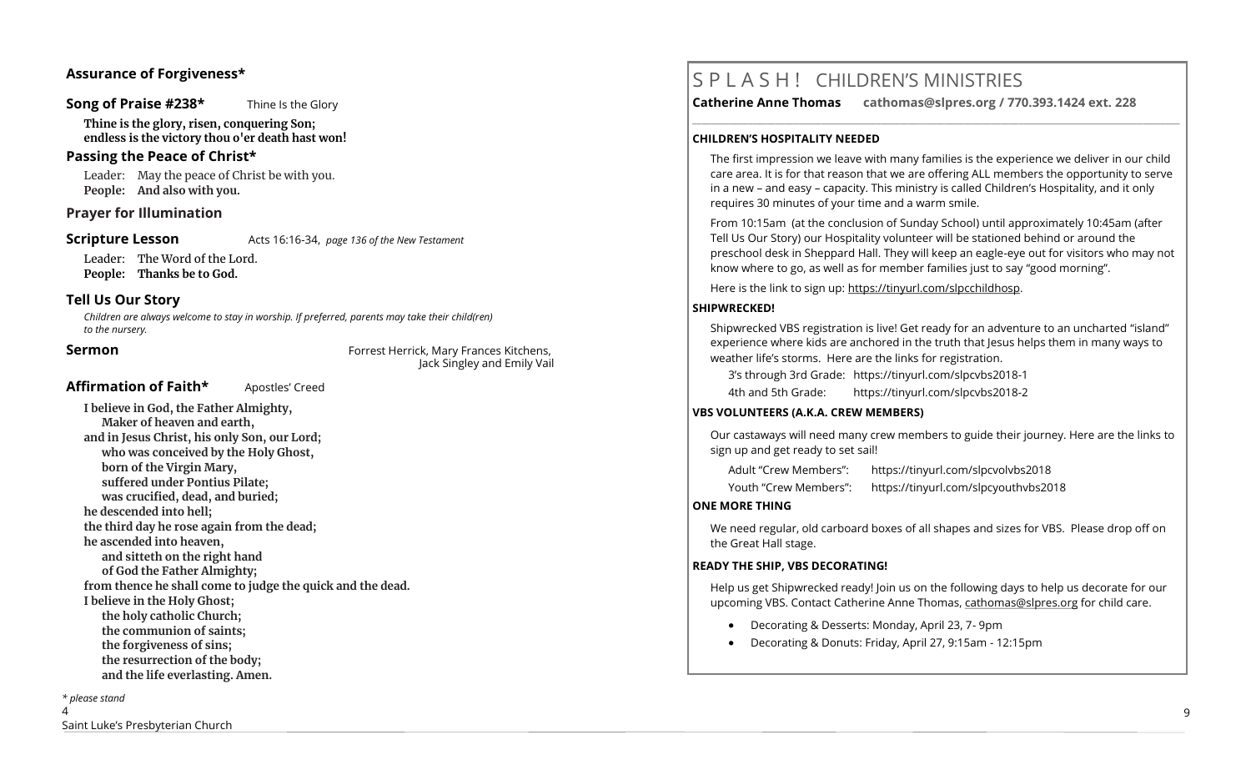#### **Assurance of Forgiveness\***

#### **Song of Praise #238\*** Thine Is the Glory

**Thine is the glory, risen, conquering Son; endless is the victory thou o'er death hast won!**

#### **Passing the Peace of Christ\***

Leader: May the peace of Christ be with you. **People: And also with you.** 

#### **Prayer for Illumination**

**Scripture Lesson** Acts 16:16-34, *page 136 of the New Testament* 

Leader: The Word of the Lord.

**People: Thanks be to God.**

#### **Tell Us Our Story**

*Children are always welcome to stay in worship. If preferred, parents may take their child(ren) to the nursery.*

**Sermon Forrest Herrick, Mary Frances Kitchens,** Jack Singley and Emily Vail

#### Affirmation of Faith\* **Apostles'** Creed

**I believe in God, the Father Almighty, Maker of heaven and earth, and in Jesus Christ, his only Son, our Lord; who was conceived by the Holy Ghost, born of the Virgin Mary, suffered under Pontius Pilate; was crucified, dead, and buried; he descended into hell; the third day he rose again from the dead; he ascended into heaven, and sitteth on the right hand of God the Father Almighty; from thence he shall come to judge the quick and the dead. I believe in the Holy Ghost; the holy catholic Church; the communion of saints; the forgiveness of sins; the resurrection of the body; and the life everlasting. Amen.**

#### *\* please stand*

 $\lambda$ Saint Luke's Presbyterian Church

# S P L A S H ! CHILDREN'S MINISTRIES

**Catherine Anne Thomas cathomas@slpres.org / 770.393.1424 ext. 228** 

**\_\_\_\_\_\_\_\_\_\_\_\_\_\_\_\_\_\_\_\_\_\_\_\_\_\_\_\_\_\_\_\_\_\_\_\_\_\_\_\_\_\_\_\_\_\_\_\_\_\_\_\_\_\_\_\_\_\_\_\_\_\_\_\_\_\_\_\_\_\_\_\_\_\_\_\_\_\_\_\_\_\_\_\_\_\_\_\_\_\_\_\_\_\_\_\_\_\_\_\_\_\_\_\_\_\_** 

#### **CHILDREN'S HOSPITALITY NEEDED**

The first impression we leave with many families is the experience we deliver in our child care area. It is for that reason that we are offering ALL members the opportunity to serve in a new – and easy – capacity. This ministry is called Children's Hospitality, and it only requires 30 minutes of your time and a warm smile.

From 10:15am (at the conclusion of Sunday School) until approximately 10:45am (after Tell Us Our Story) our Hospitality volunteer will be stationed behind or around the preschool desk in Sheppard Hall. They will keep an eagle-eye out for visitors who may not know where to go, as well as for member families just to say "good morning".

Here is the link to sign up: https://tinyurl.com/slpcchildhosp.

#### **SHIPWRECKED!**

Shipwrecked VBS registration is live! Get ready for an adventure to an uncharted "island" experience where kids are anchored in the truth that Jesus helps them in many ways to weather life's storms. Here are the links for registration.

3's through 3rd Grade: https://tinyurl.com/slpcvbs2018-1 4th and 5th Grade: https://tinyurl.com/slpcvbs2018-2

#### **VBS VOLUNTEERS (A.K.A. CREW MEMBERS)**

Our castaways will need many crew members to guide their journey. Here are the links to sign up and get ready to set sail!

Adult "Crew Members": https://tinyurl.com/slpcvolvbs2018

Youth "Crew Members": https://tinyurl.com/slpcyouthvbs2018

#### **ONE MORE THING**

We need regular, old carboard boxes of all shapes and sizes for VBS. Please drop off on the Great Hall stage.

#### **READY THE SHIP, VBS DECORATING!**

Help us get Shipwrecked ready! Join us on the following days to help us decorate for our upcoming VBS. Contact Catherine Anne Thomas, [cathomas@slpres.org](mailto:cathomas@slpres.org) for child care.

- Decorating & Desserts: Monday, April 23, 7- 9pm
- Decorating & Donuts: Friday, April 27, 9:15am 12:15pm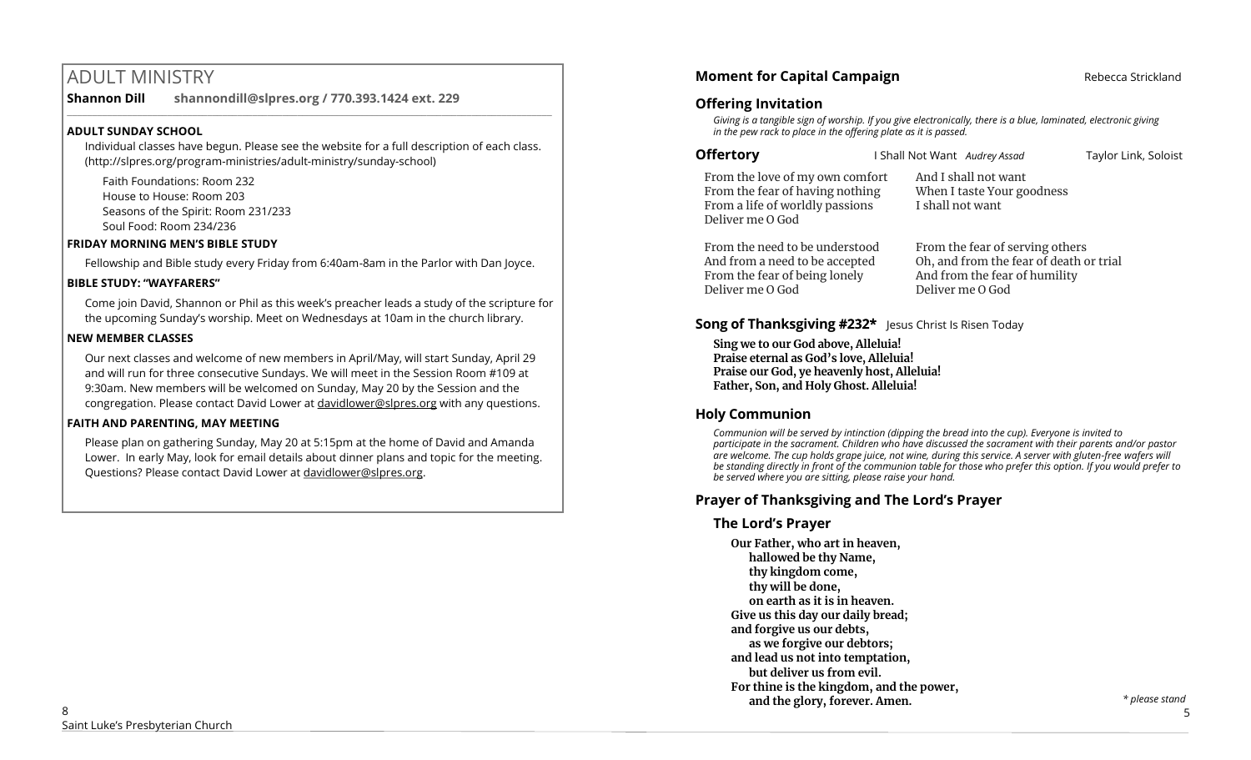# ADULT MINISTRY

**Shannon Dill shannondill@slpres.org / 770.393.1424 ext. 229** 

#### **ADULT SUNDAY SCHOOL**

Individual classes have begun. Please see the website for a full description of each class. (http://slpres.org/program-ministries/adult-ministry/sunday-school)

 $\_$  ,  $\_$  ,  $\_$  ,  $\_$  ,  $\_$  ,  $\_$  ,  $\_$  ,  $\_$  ,  $\_$  ,  $\_$  ,  $\_$  ,  $\_$  ,  $\_$  ,  $\_$  ,  $\_$  ,  $\_$  ,  $\_$  ,  $\_$  ,  $\_$ 

Faith Foundations: Room 232 House to House: Room 203 Seasons of the Spirit: Room 231/233 Soul Food: Room 234/236

#### **FRIDAY MORNING MEN'S BIBLE STUDY**

Fellowship and Bible study every Friday from 6:40am-8am in the Parlor with Dan Joyce.

#### **BIBLE STUDY: "WAYFARERS"**

Come join David, Shannon or Phil as this week's preacher leads a study of the scripture for the upcoming Sunday's worship. Meet on Wednesdays at 10am in the church library.

#### **NEW MEMBER CLASSES**

Our next classes and welcome of new members in April/May, will start Sunday, April 29 and will run for three consecutive Sundays. We will meet in the Session Room #109 at 9:30am. New members will be welcomed on Sunday, May 20 by the Session and the congregation. Please contact David Lower at davidlower@slpres.org with any questions.

### **FAITH AND PARENTING, MAY MEETING**

Please plan on gathering Sunday, May 20 at 5:15pm at the home of David and Amanda Lower. In early May, look for email details about dinner plans and topic for the meeting. Questions? Please contact David Lower at davidlower@slpres.org.

# **Moment for Capital Campaign Rebecca Strickland Rebecca Strickland**

## **Offering Invitation**

*Giving is a tangible sign of worship. If you give electronically, there is a blue, laminated, electronic giving in the pew rack to place in the offering plate as it is passed.*

**Offertory I** Shall Not Want *Audrey Assad* Taylor Link, Soloist

From the love of my own comfort From the fear of having nothing From a life of worldly passions Deliver me O God

And I shall not want When I taste Your goodness I shall not want

From the need to be understood And from a need to be accepted From the fear of being lonely Deliver me O God

From the fear of serving others Oh, and from the fear of death or trial And from the fear of humility Deliver me O God

# **Song of Thanksgiving #232\*** Jesus Christ Is Risen Today

**Sing we to our God above, Alleluia! Praise eternal as God's love, Alleluia! Praise our God, ye heavenly host, Alleluia! Father, Son, and Holy Ghost. Alleluia!**

# **Holy Communion**

*Communion will be served by intinction (dipping the bread into the cup). Everyone is invited to participate in the sacrament. Children who have discussed the sacrament with their parents and/or pastor are welcome. The cup holds grape juice, not wine, during this service. A server with gluten-free wafers will be standing directly in front of the communion table for those who prefer this option. If you would prefer to be served where you are sitting, please raise your hand.* 

# **Prayer of Thanksgiving and The Lord's Prayer**

# **The Lord's Prayer**

**Our Father, who art in heaven, hallowed be thy Name, thy kingdom come, thy will be done, on earth as it is in heaven. Give us this day our daily bread; and forgive us our debts, as we forgive our debtors; and lead us not into temptation, but deliver us from evil. For thine is the kingdom, and the power,** 

**and the glory, forever. Amen.**